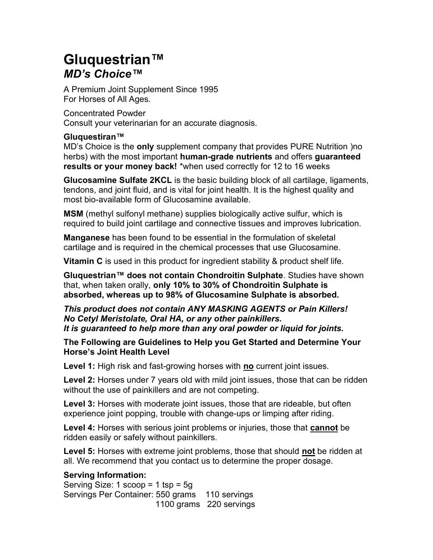## Gluquestrian™ MD's Choice™

A Premium Joint Supplement Since 1995 For Horses of All Ages.

Concentrated Powder Consult your veterinarian for an accurate diagnosis.

## Gluquestiran™

MD's Choice is the **only** supplement company that provides PURE Nutrition )no herbs) with the most important human-grade nutrients and offers quaranteed results or your money back! \*when used correctly for 12 to 16 weeks

Glucosamine Sulfate 2KCL is the basic building block of all cartilage, ligaments, tendons, and joint fluid, and is vital for joint health. It is the highest quality and most bio-available form of Glucosamine available.

MSM (methyl sulfonyl methane) supplies biologically active sulfur, which is required to build joint cartilage and connective tissues and improves lubrication.

Manganese has been found to be essential in the formulation of skeletal cartilage and is required in the chemical processes that use Glucosamine.

**Vitamin C** is used in this product for ingredient stability & product shelf life.

Gluquestrian™ does not contain Chondroitin Sulphate. Studies have shown that, when taken orally, only 10% to 30% of Chondroitin Sulphate is absorbed, whereas up to 98% of Glucosamine Sulphate is absorbed.

This product does not contain ANY MASKING AGENTS or Pain Killers! No Cetyl Meristolate, Oral HA, or any other painkillers. It is guaranteed to help more than any oral powder or liquid for joints.

The Following are Guidelines to Help you Get Started and Determine Your Horse's Joint Health Level

Level 1: High risk and fast-growing horses with no current joint issues.

Level 2: Horses under 7 years old with mild joint issues, those that can be ridden without the use of painkillers and are not competing.

Level 3: Horses with moderate joint issues, those that are rideable, but often experience joint popping, trouble with change-ups or limping after riding.

Level 4: Horses with serious joint problems or injuries, those that **cannot** be ridden easily or safely without painkillers.

Level 5: Horses with extreme joint problems, those that should not be ridden at all. We recommend that you contact us to determine the proper dosage.

## Serving Information:

Serving Size: 1  $score = 1$  tsp =  $5q$ Servings Per Container: 550 grams 110 servings 1100 grams 220 servings